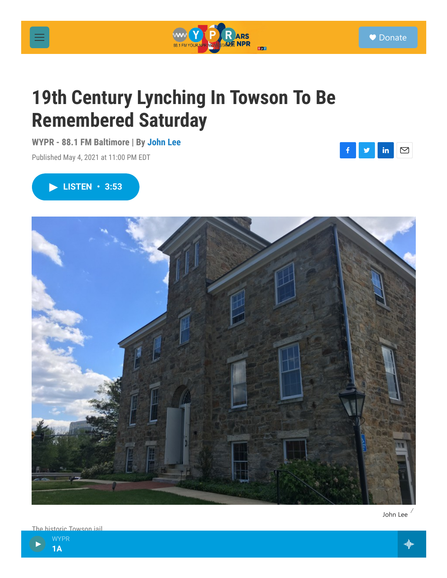神

in Towson iail





## **19th Century Lynching In Towson To Be Remembered Saturday**

**WYPR - 88.1 FM Baltimore | By John Lee**

Published May 4, 2021 at 11:00 PM EDT

## **LISTEN • 3:53**

## ● Donate





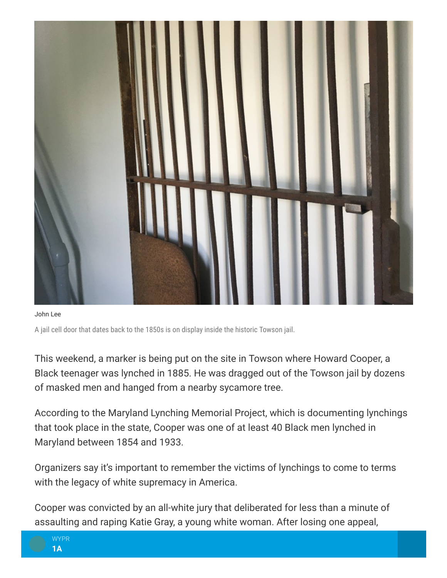

John Lee

A jail cell door that dates back to the 1850s is on display inside the historic Towson jail.

This weekend, a marker is being put on the site in Towson where Howard Cooper, a Black teenager was lynched in 1885. He was dragged out of the Towson jail by dozens of masked men and hanged from a nearby sycamore tree.

According to the Maryland Lynching Memorial Project, which is documenting lynchings that took place in the state, Cooper was one of at least 40 Black men lynched in Maryland between 1854 and 1933.

Organizers say it's important to remember the victims of lynchings to come to terms with the legacy of white supremacy in America.

Cooper was convicted by an all-white jury that deliberated for less than a minute of assaulting and raping Katie Gray, a young white woman. After losing one appeal,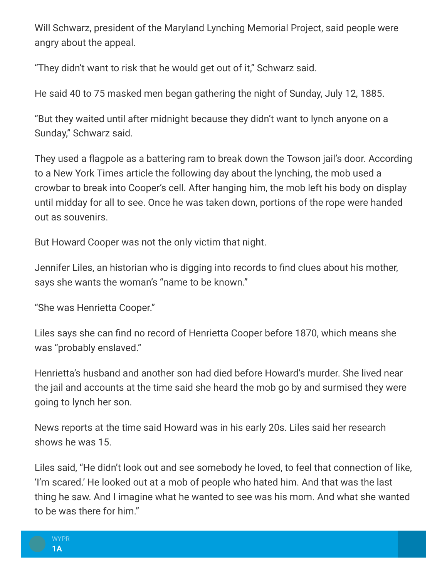Will Schwarz, president of the Maryland Lynching Memorial Project, said people were angry about the appeal.

"They didn't want to risk that he would get out of it," Schwarz said.

He said 40 to 75 masked men began gathering the night of Sunday, July 12, 1885.

"But they waited until after midnight because they didn't want to lynch anyone on a Sunday," Schwarz said.

They used a flagpole as a battering ram to break down the Towson jail's door. According to a New York Times article the following day about the lynching, the mob used a crowbar to break into Cooper's cell. After hanging him, the mob left his body on display until midday for all to see. Once he was taken down, portions of the rope were handed out as souvenirs.

But Howard Cooper was not the only victim that night.

Jennifer Liles, an historian who is digging into records to find clues about his mother, says she wants the woman's "name to be known."

"She was Henrietta Cooper."

Liles says she can find no record of Henrietta Cooper before 1870, which means she was "probably enslaved."

Henrietta's husband and another son had died before Howard's murder. She lived near the jail and accounts at the time said she heard the mob go by and surmised they were going to lynch her son.

News reports at the time said Howard was in his early 20s. Liles said her research shows he was 15.

Liles said, "He didn't look out and see somebody he loved, to feel that connection of like, 'I'm scared.' He looked out at a mob of people who hated him. And that was the last thing he saw. And I imagine what he wanted to see was his mom. And what she wanted to be was there for him."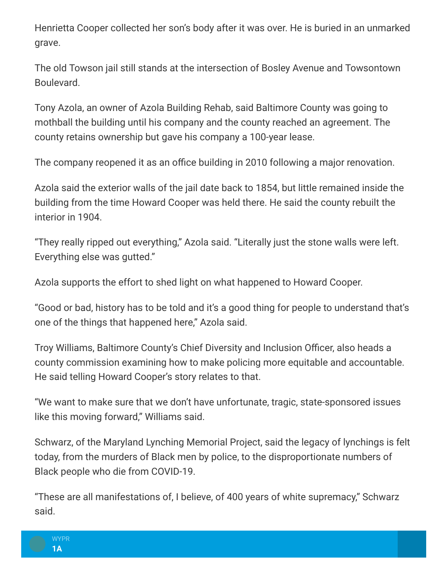Henrietta Cooper collected her son's body after it was over. He is buried in an unmarked grave.

The old Towson jail still stands at the intersection of Bosley Avenue and Towsontown Boulevard.

Tony Azola, an owner of Azola Building Rehab, said Baltimore County was going to mothball the building until his company and the county reached an agreement. The county retains ownership but gave his company a 100-year lease.

The company reopened it as an office building in 2010 following a major renovation.

Azola said the exterior walls of the jail date back to 1854, but little remained inside the building from the time Howard Cooper was held there. He said the county rebuilt the interior in 1904.

"They really ripped out everything," Azola said. "Literally just the stone walls were left. Everything else was gutted."

Azola supports the effort to shed light on what happened to Howard Cooper.

"Good or bad, history has to be told and it's a good thing for people to understand that's one of the things that happened here," Azola said.

Troy Williams, Baltimore County's Chief Diversity and Inclusion Officer, also heads a county commission examining how to make policing more equitable and accountable. He said telling Howard Cooper's story relates to that.

"We want to make sure that we don't have unfortunate, tragic, state-sponsored issues like this moving forward," Williams said.

Schwarz, of the Maryland Lynching Memorial Project, said the legacy of lynchings is felt today, from the murders of Black men by police, to the disproportionate numbers of Black people who die from COVID-19.

"These are all manifestations of, I believe, of 400 years of white supremacy," Schwarz said.